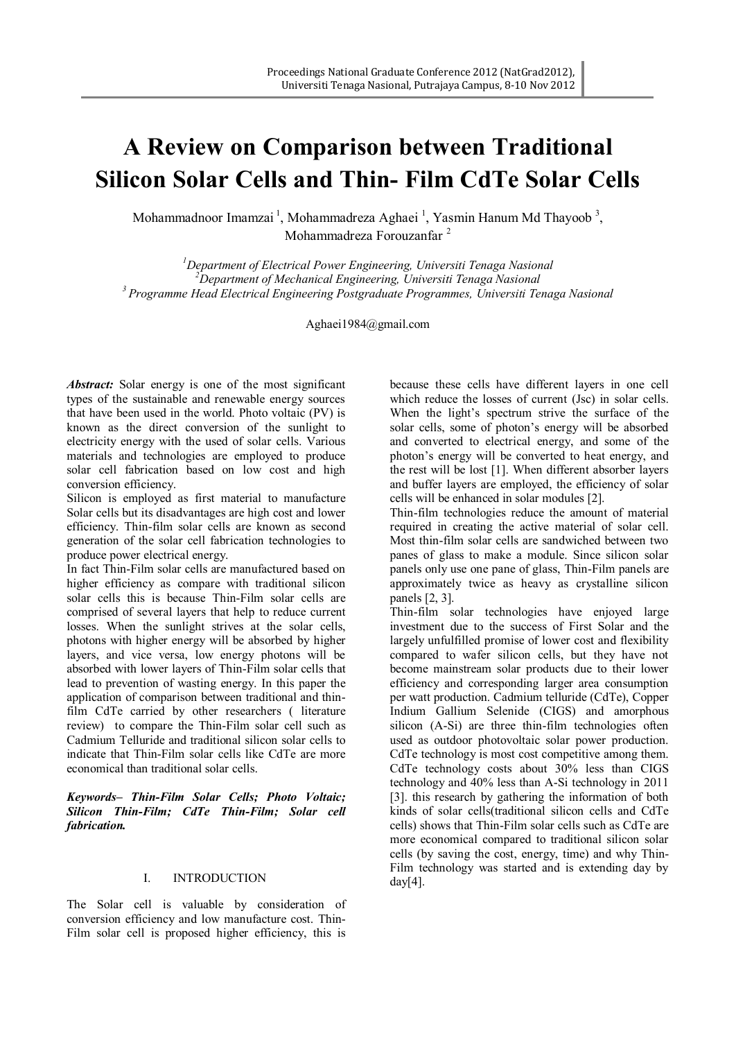# **A Review on Comparison between Traditional Silicon Solar Cells and Thin- Film CdTe Solar Cells**

Mohammadnoor Imamzai<sup>1</sup>, Mohammadreza Aghaei<sup>1</sup>, Yasmin Hanum Md Thayoob<sup>3</sup>, Mohammadreza Forouzanfar <sup>2</sup>

*<sup>1</sup>Department of Electrical Power Engineering, Universiti Tenaga Nasional <sup>2</sup>Department of Mechanical Engineering, Universiti Tenaga Nasional <sup>3</sup> Programme Head Electrical Engineering Postgraduate Programmes, Universiti Tenaga Nasional*

[Aghaei1984@gmail.com](mailto:Sdtutn@yahoo.com)

*Abstract:* Solar energy is one of the most significant types of the sustainable and renewable energy sources that have been used in the world. Photo voltaic (PV) is known as the direct conversion of the sunlight to electricity energy with the used of solar cells. Various materials and technologies are employed to produce solar cell fabrication based on low cost and high conversion efficiency.

Silicon is employed as first material to manufacture Solar cells but its disadvantages are high cost and lower efficiency. Thin-film solar cells are known as second generation of the solar cell fabrication technologies to produce power electrical energy.

In fact Thin-Film solar cells are manufactured based on higher efficiency as compare with traditional silicon solar cells this is because Thin-Film solar cells are comprised of several layers that help to reduce current losses. When the sunlight strives at the solar cells, photons with higher energy will be absorbed by higher layers, and vice versa, low energy photons will be absorbed with lower layers of Thin-Film solar cells that lead to prevention of wasting energy. In this paper the application of comparison between traditional and thinfilm CdTe carried by other researchers ( literature review) to compare the Thin-Film solar cell such as Cadmium Telluride and traditional silicon solar cells to indicate that Thin-Film solar cells like CdTe are more economical than traditional solar cells.

*Keywords– Thin-Film Solar Cells; Photo Voltaic; Silicon Thin-Film; CdTe Thin-Film; Solar cell fabrication.*

#### I. INTRODUCTION

The Solar cell is valuable by consideration of conversion efficiency and low manufacture cost. Thin-Film solar cell is proposed higher efficiency, this is

because these cells have different layers in one cell which reduce the losses of current (Jsc) in solar cells. When the light's spectrum strive the surface of the solar cells, some of photon's energy will be absorbed and converted to electrical energy, and some of the photon's energy will be converted to heat energy, and the rest will be lost [1]. When different absorber layers and buffer layers are employed, the efficiency of solar cells will be enhanced in solar modules [2].

Thin-film technologies reduce the amount of material required in creating the active material of solar cell. Most thin-film solar cells are sandwiched between two panes of glass to make a module. Since silicon solar panels only use one pane of glass, Thin-Film panels are approximately twice as heavy as crystalline silicon panels [2, 3].

Thin-film solar technologies have enjoyed large investment due to the success of First Solar and the largely unfulfilled promise of lower cost and flexibility compared to wafer silicon cells, but they have not become mainstream solar products due to their lower efficiency and corresponding larger area consumption per watt production. Cadmium telluride (CdTe), Copper Indium Gallium Selenide (CIGS) and amorphous silicon (A-Si) are three thin-film technologies often used as outdoor photovoltaic solar power production. CdTe technology is most cost competitive among them. CdTe technology costs about 30% less than CIGS technology and 40% less than A-Si technology in 2011 [3]. this research by gathering the information of both kinds of solar cells(traditional silicon cells and CdTe cells) shows that Thin-Film solar cells such as CdTe are more economical compared to traditional silicon solar cells (by saving the cost, energy, time) and why Thin-Film technology was started and is extending day by day $[4]$ .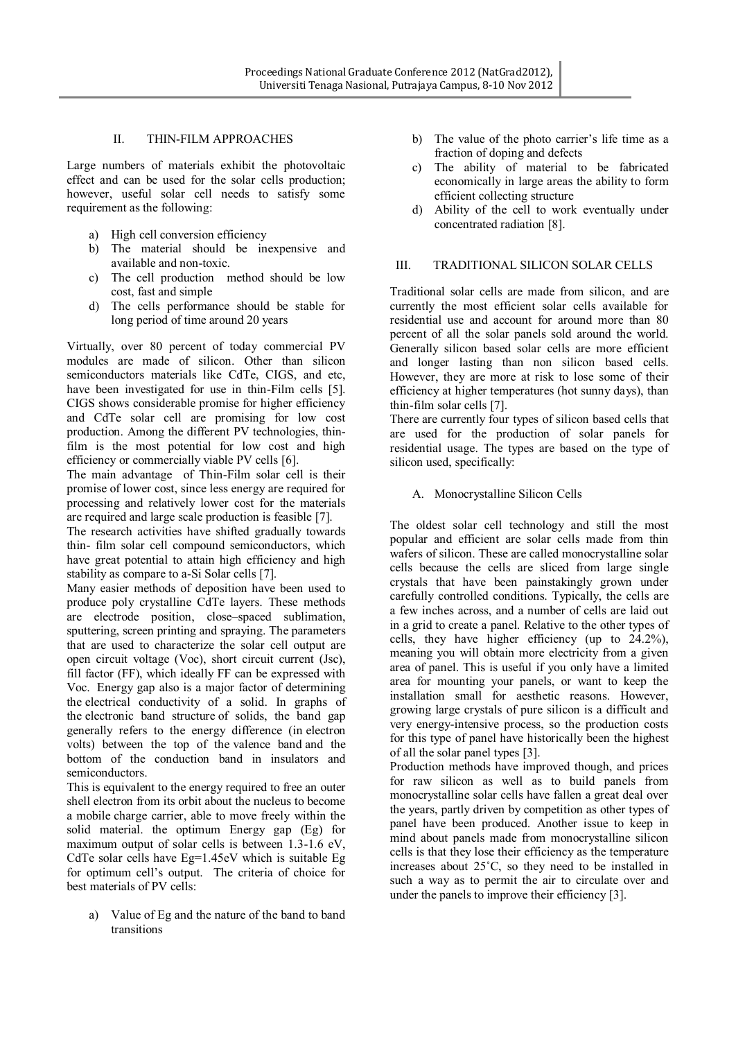### II. THIN-FILM APPROACHES

Large numbers of materials exhibit the photovoltaic effect and can be used for the solar cells production; however, useful solar cell needs to satisfy some requirement as the following:

- a) High cell conversion efficiency
- b) The material should be inexpensive and available and non-toxic.
- c) The cell production method should be low cost, fast and simple
- d) The cells performance should be stable for long period of time around 20 years

Virtually, over 80 percent of today commercial PV modules are made of silicon. Other than silicon semiconductors materials like CdTe, CIGS, and etc, have been investigated for use in thin-Film cells [5]. CIGS shows considerable promise for higher efficiency and CdTe solar cell are promising for low cost production. Among the different PV technologies, thinfilm is the most potential for low cost and high efficiency or commercially viable PV cells [6].

The main advantage of Thin-Film solar cell is their promise of lower cost, since less energy are required for processing and relatively lower cost for the materials are required and large scale production is feasible [7].

The research activities have shifted gradually towards thin- film solar cell compound semiconductors, which have great potential to attain high efficiency and high stability as compare to a-Si Solar cells [7].

Many easier methods of deposition have been used to produce poly crystalline CdTe layers. These methods are electrode position, close–spaced sublimation, sputtering, screen printing and spraying. The parameters that are used to characterize the solar cell output are open circuit voltage (Voc), short circuit current (Jsc), fill factor (FF), which ideally FF can be expressed with Voc. Energy gap also is a major factor of determining the electrical conductivity of a solid. In graphs of the electronic band structure of solids, the band gap generally refers to the energy difference (in electron volts) between the top of the valence band and the bottom of the conduction band in insulators and semiconductors.

This is equivalent to the energy required to free an outer shell electron from its orbit about the nucleus to become a mobile charge carrier, able to move freely within the solid material. the optimum Energy gap (Eg) for maximum output of solar cells is between 1.3-1.6 eV, CdTe solar cells have Eg=1.45eV which is suitable Eg for optimum cell's output. The criteria of choice for best materials of PV cells:

a) Value of Eg and the nature of the band to band transitions

- b) The value of the photo carrier's life time as a fraction of doping and defects
- c) The ability of material to be fabricated economically in large areas the ability to form efficient collecting structure
- d) Ability of the cell to work eventually under concentrated radiation [8].

## III. TRADITIONAL SILICON SOLAR CELLS

Traditional solar cells are made from silicon, and are currently the most efficient solar cells available for residential use and account for around more than 80 percent of all the solar panels sold around the world. Generally silicon based solar cells are more efficient and longer lasting than non silicon based cells. However, they are more at risk to lose some of their efficiency at higher temperatures (hot sunny days), than thin-film solar cells [7].

There are currently four types of silicon based cells that are used for the production of solar panels for residential usage. The types are based on the type of silicon used, specifically:

## A. Monocrystalline Silicon Cells

The oldest solar cell technology and still the most popular and efficient are solar cells made from thin wafers of silicon. These are called monocrystalline solar cells because the cells are sliced from large single crystals that have been painstakingly grown under carefully controlled conditions. Typically, the cells are a few inches across, and a number of cells are laid out in a grid to create a panel. Relative to the other types of cells, they have higher efficiency (up to 24.2%), meaning you will obtain more electricity from a given area of panel. This is useful if you only have a limited area for mounting your panels, or want to keep the installation small for aesthetic reasons. However, growing large crystals of pure silicon is a difficult and very energy-intensive process, so the production costs for this type of panel have historically been the highest of all the solar panel types [3].

Production methods have improved though, and prices for raw silicon as well as to build panels from monocrystalline solar cells have fallen a great deal over the years, partly driven by competition as other types of panel have been produced. Another issue to keep in mind about panels made from monocrystalline silicon cells is that they lose their efficiency as the temperature increases about 25˚C, so they need to be installed in such a way as to permit the air to circulate over and under the panels to improve their efficiency [3].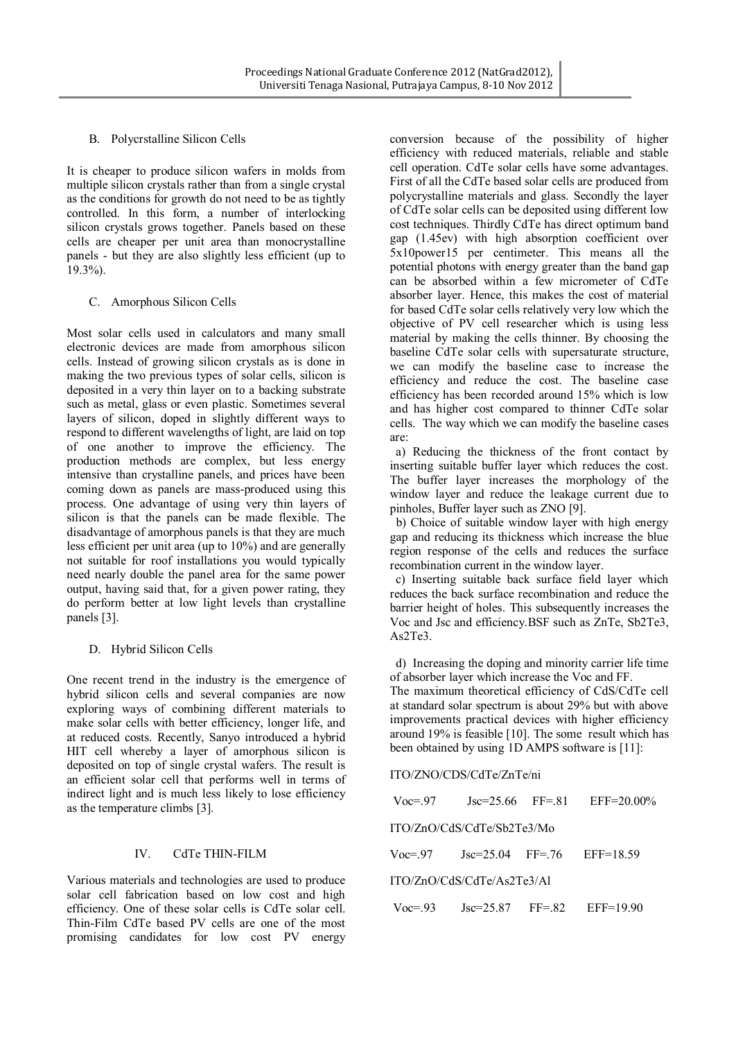## B. Polycrstalline Silicon Cells

It is cheaper to produce silicon wafers in molds from multiple silicon crystals rather than from a single crystal as the conditions for growth do not need to be as tightly controlled. In this form, a number of interlocking silicon crystals grows together. Panels based on these cells are cheaper per unit area than monocrystalline panels - but they are also slightly less efficient (up to 19.3%).

## C. Amorphous Silicon Cells

Most solar cells used in calculators and many small electronic devices are made from amorphous silicon cells. Instead of growing silicon crystals as is done in making the two previous types of solar cells, silicon is deposited in a very thin layer on to a backing substrate such as metal, glass or even plastic. Sometimes several layers of silicon, doped in slightly different ways to respond to different wavelengths of light, are laid on top of one another to improve the efficiency. The production methods are complex, but less energy intensive than crystalline panels, and prices have been coming down as panels are mass-produced using this process. One advantage of using very thin layers of silicon is that the panels can be made flexible. The disadvantage of amorphous panels is that they are much less efficient per unit area (up to 10%) and are generally not suitable for roof installations you would typically need nearly double the panel area for the same power output, having said that, for a given power rating, they do perform better at low light levels than crystalline panels [3].

## D. Hybrid Silicon Cells

One recent trend in the industry is the emergence of hybrid silicon cells and several companies are now exploring ways of combining different materials to make solar cells with better efficiency, longer life, and at reduced costs. Recently, Sanyo introduced a hybrid HIT cell whereby a layer of amorphous silicon is deposited on top of single crystal wafers. The result is an efficient solar cell that performs well in terms of indirect light and is much less likely to lose efficiency as the temperature climbs [3].

#### IV. CdTe THIN-FILM

Various materials and technologies are used to produce solar cell fabrication based on low cost and high efficiency. One of these solar cells is CdTe solar cell. Thin-Film CdTe based PV cells are one of the most promising candidates for low cost PV energy conversion because of the possibility of higher efficiency with reduced materials, reliable and stable cell operation. CdTe solar cells have some advantages. First of all the CdTe based solar cells are produced from polycrystalline materials and glass. Secondly the layer of CdTe solar cells can be deposited using different low cost techniques. Thirdly CdTe has direct optimum band gap (1.45ev) with high absorption coefficient over 5x10power15 per centimeter. This means all the potential photons with energy greater than the band gap can be absorbed within a few micrometer of CdTe absorber layer. Hence, this makes the cost of material for based CdTe solar cells relatively very low which the objective of PV cell researcher which is using less material by making the cells thinner. By choosing the baseline CdTe solar cells with supersaturate structure, we can modify the baseline case to increase the efficiency and reduce the cost. The baseline case efficiency has been recorded around 15% which is low and has higher cost compared to thinner CdTe solar cells. The way which we can modify the baseline cases are:

 a) Reducing the thickness of the front contact by inserting suitable buffer layer which reduces the cost. The buffer layer increases the morphology of the window layer and reduce the leakage current due to pinholes, Buffer layer such as ZNO [9].

 b) Choice of suitable window layer with high energy gap and reducing its thickness which increase the blue region response of the cells and reduces the surface recombination current in the window layer.

 c) Inserting suitable back surface field layer which reduces the back surface recombination and reduce the barrier height of holes. This subsequently increases the Voc and Jsc and efficiency.BSF such as ZnTe, Sb2Te3, As2Te3.

 d) Increasing the doping and minority carrier life time of absorber layer which increase the Voc and FF.

The maximum theoretical efficiency of CdS/CdTe cell at standard solar spectrum is about 29% but with above improvements practical devices with higher efficiency around 19% is feasible [10]. The some result which has been obtained by using 1D AMPS software is [11]:

#### ITO/ZNO/CDS/CdTe/ZnTe/ni

| $V_0c=97$                  |                                           |  | $\text{Jsc}=25.66$ FF= 81 EFF=20.00%    |
|----------------------------|-------------------------------------------|--|-----------------------------------------|
| ITO/ZnO/CdS/CdTe/Sb2Te3/Mo |                                           |  |                                         |
|                            | $Voc=97$ $Jsc=25.04$ $FF=.76$ $EFF=18.59$ |  |                                         |
| ITO/ZnO/CdS/CdTe/As2Te3/Al |                                           |  |                                         |
|                            |                                           |  | $Voc=93$ $Jsc=25.87$ $FF=82$ $EF=19.90$ |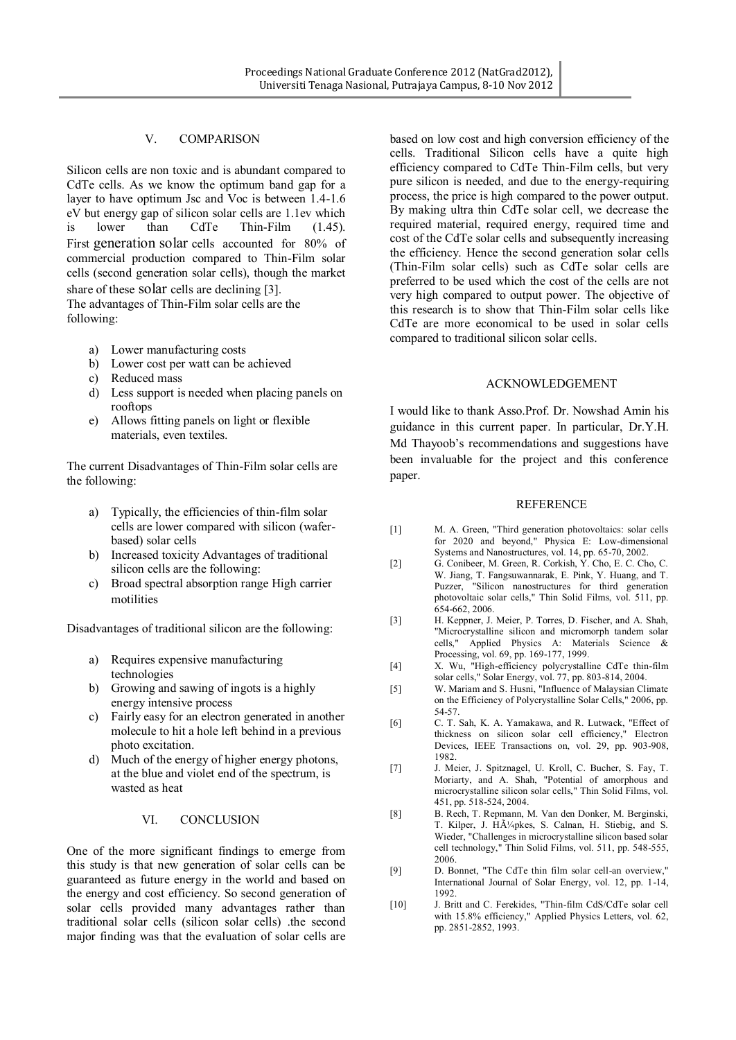### V. COMPARISON

Silicon cells are non toxic and is abundant compared to CdTe cells. As we know the optimum band gap for a layer to have optimum Jsc and Voc is between 1.4-1.6 eV but energy gap of silicon solar cells are 1.1ev which is lower than CdTe Thin-Film (1.45). First generation solar cells accounted for 80% of commercial production compared to Thin-Film solar cells (second generation solar cells), though the market share of these solar cells are declining [3]. The advantages of Thin-Film solar cells are the following:

- a) Lower manufacturing costs
- b) Lower cost per watt can be achieved
- c) Reduced mass
- d) Less support is needed when placing panels on rooftops
- e) Allows fitting panels on light or flexible materials, even textiles.

The current Disadvantages of Thin-Film solar cells are the following:

- a) Typically, the efficiencies of thin-film solar cells are lower compared with silicon (waferbased) solar cells
- b) Increased toxicity Advantages of traditional silicon cells are the following:
- c) Broad spectral absorption range High carrier motilities

Disadvantages of traditional silicon are the following:

- a) Requires expensive manufacturing technologies
- b) Growing and sawing of ingots is a highly energy intensive process
- c) Fairly easy for an electron generated in another molecule to hit a hole left behind in a previous photo excitation.
- d) Much of the energy of higher energy photons, at the blue and violet end of the spectrum, is wasted as heat

#### VI. CONCLUSION

One of the more significant findings to emerge from this study is that new generation of solar cells can be guaranteed as future energy in the world and based on the energy and cost efficiency. So second generation of solar cells provided many advantages rather than traditional solar cells (silicon solar cells) .the second major finding was that the evaluation of solar cells are

based on low cost and high conversion efficiency of the cells. Traditional Silicon cells have a quite high efficiency compared to CdTe Thin-Film cells, but very pure silicon is needed, and due to the energy-requiring process, the price is high compared to the power output. By making ultra thin CdTe solar cell, we decrease the required material, required energy, required time and cost of the CdTe solar cells and subsequently increasing the efficiency. Hence the second generation solar cells (Thin-Film solar cells) such as CdTe solar cells are preferred to be used which the cost of the cells are not very high compared to output power. The objective of this research is to show that Thin-Film solar cells like CdTe are more economical to be used in solar cells compared to traditional silicon solar cells.

#### ACKNOWLEDGEMENT

I would like to thank Asso.Prof. Dr. Nowshad Amin his guidance in this current paper. In particular, Dr.Y.H. Md Thayoob's recommendations and suggestions have been invaluable for the project and this conference paper.

#### **REFERENCE**

- [1] M. A. Green, "Third generation photovoltaics: solar cells for 2020 and beyond," Physica E: Low-dimensional Systems and Nanostructures, vol. 14, pp. 65-70, 2002.
- [2] G. Conibeer, M. Green, R. Corkish, Y. Cho, E. C. Cho, C. W. Jiang, T. Fangsuwannarak, E. Pink, Y. Huang, and T. Puzzer, "Silicon nanostructures for third generation photovoltaic solar cells," Thin Solid Films, vol. 511, pp. 654-662, 2006.
- [3] H. Keppner, J. Meier, P. Torres, D. Fischer, and A. Shah, "Microcrystalline silicon and micromorph tandem solar cells," Applied Physics A: Materials Science & Processing, vol. 69, pp. 169-177, 1999.
- [4] X. Wu, "High-efficiency polycrystalline CdTe thin-film solar cells," Solar Energy, vol. 77, pp. 803-814, 2004.
- [5] W. Mariam and S. Husni, "Influence of Malaysian Climate on the Efficiency of Polycrystalline Solar Cells," 2006, pp. 54-57.
- [6] C. T. Sah, K. A. Yamakawa, and R. Lutwack, "Effect of thickness on silicon solar cell efficiency," Electron Devices, IEEE Transactions on, vol. 29, pp. 903-908, 1982.
- [7] J. Meier, J. Spitznagel, U. Kroll, C. Bucher, S. Fay, T. Moriarty, and A. Shah, "Potential of amorphous and microcrystalline silicon solar cells," Thin Solid Films, vol. 451, pp. 518-524, 2004.
- [8] B. Rech, T. Repmann, M. Van den Donker, M. Berginski, T. Kilper, J. H $\tilde{A}^{1}/_{4}$ pkes, S. Calnan, H. Stiebig, and S. Wieder, "Challenges in microcrystalline silicon based solar cell technology," Thin Solid Films, vol. 511, pp. 548-555, 2006.
- [9] D. Bonnet, "The CdTe thin film solar cell-an overview," International Journal of Solar Energy, vol. 12, pp. 1-14, 1992.
- [10] J. Britt and C. Ferekides, "Thin-film CdS/CdTe solar cell with 15.8% efficiency," Applied Physics Letters, vol. 62, pp. 2851-2852, 1993.